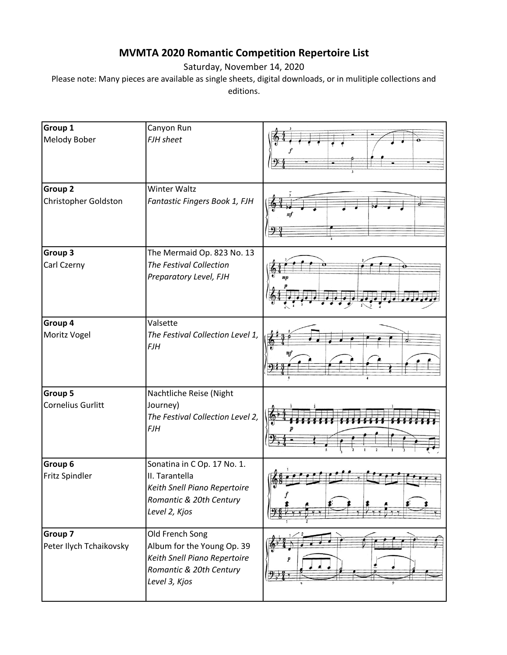## **MVMTA 2020 Romantic Competition Repertoire List**

Saturday, November 14, 2020

Please note: Many pieces are available as single sheets, digital downloads, or in mulitiple collections and editions.

| Group 1<br>Melody Bober             | Canyon Run<br>FJH sheet                                                                                                   |  |
|-------------------------------------|---------------------------------------------------------------------------------------------------------------------------|--|
| Group 2<br>Christopher Goldston     | <b>Winter Waltz</b><br>Fantastic Fingers Book 1, FJH                                                                      |  |
| Group 3<br>Carl Czerny              | The Mermaid Op. 823 No. 13<br>The Festival Collection<br>Preparatory Level, FJH                                           |  |
| Group 4<br>Moritz Vogel             | Valsette<br>The Festival Collection Level 1,<br>FJH                                                                       |  |
| Group 5<br><b>Cornelius Gurlitt</b> | Nachtliche Reise (Night<br>Journey)<br>The Festival Collection Level 2,<br><b>FJH</b>                                     |  |
| Group 6<br>Fritz Spindler           | Sonatina in C Op. 17 No. 1.<br>II. Tarantella<br>Keith Snell Piano Repertoire<br>Romantic & 20th Century<br>Level 2, Kjos |  |
| Group 7<br>Peter Ilych Tchaikovsky  | Old French Song<br>Album for the Young Op. 39<br>Keith Snell Piano Repertoire<br>Romantic & 20th Century<br>Level 3, Kjos |  |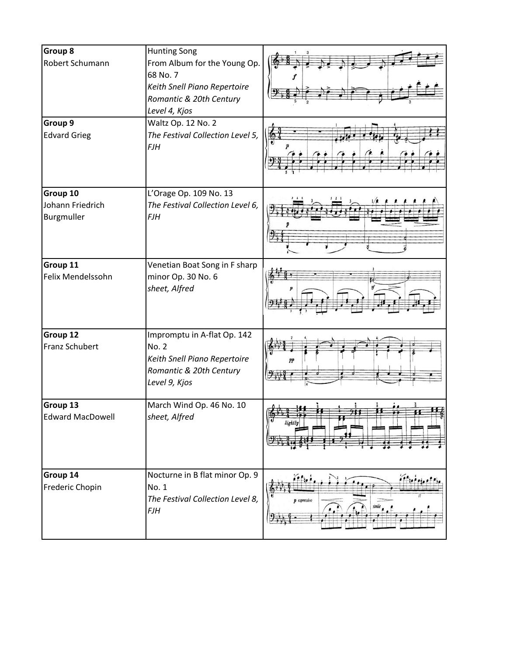| Group 8<br>Robert Schumann                 | <b>Hunting Song</b><br>From Album for the Young Op.<br>68 No. 7<br>Keith Snell Piano Repertoire<br>Romantic & 20th Century<br>Level 4, Kjos |                            |
|--------------------------------------------|---------------------------------------------------------------------------------------------------------------------------------------------|----------------------------|
| Group 9<br><b>Edvard Grieg</b>             | Waltz Op. 12 No. 2<br>The Festival Collection Level 5,<br><b>FJH</b>                                                                        |                            |
| Group 10<br>Johann Friedrich<br>Burgmuller | L'Orage Op. 109 No. 13<br>The Festival Collection Level 6,<br><b>FJH</b>                                                                    |                            |
| Group 11<br>Felix Mendelssohn              | Venetian Boat Song in F sharp<br>minor Op. 30 No. 6<br>sheet, Alfred                                                                        |                            |
| Group 12<br>Franz Schubert                 | Impromptu in A-flat Op. 142<br><b>No. 2</b><br>Keith Snell Piano Repertoire<br>Romantic & 20th Century<br>Level 9, Kjos                     | pp                         |
| Group 13<br><b>Edward MacDowell</b>        | March Wind Op. 46 No. 10<br>sheet, Alfred                                                                                                   | 88<br>J<br>lightly         |
| Group 14<br>Frederic Chopin                | Nocturne in B flat minor Op. 9<br>No. 1<br>The Festival Collection Level 8,<br><b>FJH</b>                                                   | $22 - 1$<br>$p$ espressivo |